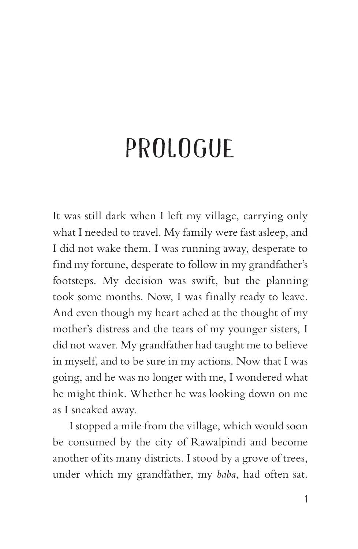## PROLOGUE

It was still dark when I left my village, carrying only what I needed to travel. My family were fast asleep, and I did not wake them. I was running away, desperate to find my fortune, desperate to follow in my grandfather's footsteps. My decision was swift, but the planning took some months. Now, I was finally ready to leave. And even though my heart ached at the thought of my mother's distress and the tears of my younger sisters, I did not waver. My grandfather had taught me to believe in myself, and to be sure in my actions. Now that I was going, and he was no longer with me, I wondered what he might think. Whether he was looking down on me as I sneaked away.

I stopped a mile from the village, which would soon be consumed by the city of Rawalpindi and become another of its many districts. I stood by a grove of trees, under which my grandfather, my *baba*, had often sat.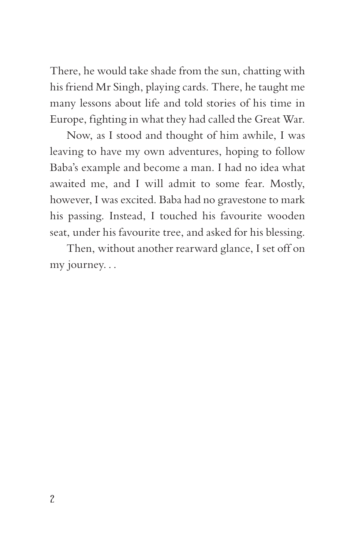There, he would take shade from the sun, chatting with his friend Mr Singh, playing cards. There, he taught me many lessons about life and told stories of his time in Europe, fighting in what they had called the Great War.

Now, as I stood and thought of him awhile, I was leaving to have my own adventures, hoping to follow Baba's example and become a man. I had no idea what awaited me, and I will admit to some fear. Mostly, however, I was excited. Baba had no gravestone to mark his passing. Instead, I touched his favourite wooden seat, under his favourite tree, and asked for his blessing.

Then, without another rearward glance, I set off on my journey. . .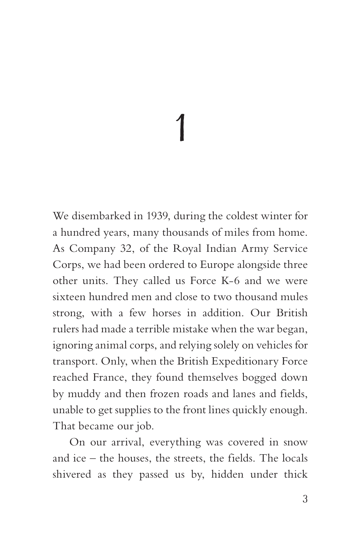## 1

We disembarked in 1939, during the coldest winter for a hundred years, many thousands of miles from home. As Company 32, of the Royal Indian Army Service Corps, we had been ordered to Europe alongside three other units. They called us Force K-6 and we were sixteen hundred men and close to two thousand mules strong, with a few horses in addition. Our British rulers had made a terrible mistake when the war began, ignoring animal corps, and relying solely on vehicles for transport. Only, when the British Expeditionary Force reached France, they found themselves bogged down by muddy and then frozen roads and lanes and fields, unable to get supplies to the front lines quickly enough. That became our job.

On our arrival, everything was covered in snow and ice – the houses, the streets, the fields. The locals shivered as they passed us by, hidden under thick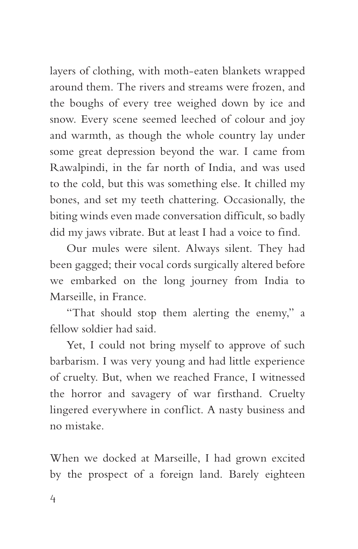layers of clothing, with moth-eaten blankets wrapped around them. The rivers and streams were frozen, and the boughs of every tree weighed down by ice and snow. Every scene seemed leeched of colour and joy and warmth, as though the whole country lay under some great depression beyond the war. I came from Rawalpindi, in the far north of India, and was used to the cold, but this was something else. It chilled my bones, and set my teeth chattering. Occasionally, the biting winds even made conversation difficult, so badly did my jaws vibrate. But at least I had a voice to find.

Our mules were silent. Always silent. They had been gagged; their vocal cords surgically altered before we embarked on the long journey from India to Marseille, in France.

"That should stop them alerting the enemy," a fellow soldier had said.

Yet, I could not bring myself to approve of such barbarism. I was very young and had little experience of cruelty. But, when we reached France, I witnessed the horror and savagery of war firsthand. Cruelty lingered everywhere in conflict. A nasty business and no mistake.

When we docked at Marseille, I had grown excited by the prospect of a foreign land. Barely eighteen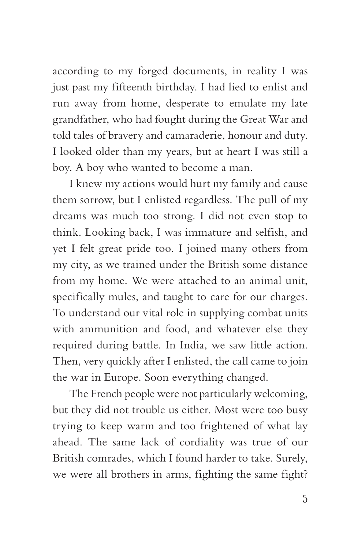according to my forged documents, in reality I was just past my fifteenth birthday. I had lied to enlist and run away from home, desperate to emulate my late grandfather, who had fought during the Great War and told tales of bravery and camaraderie, honour and duty. I looked older than my years, but at heart I was still a boy. A boy who wanted to become a man.

I knew my actions would hurt my family and cause them sorrow, but I enlisted regardless. The pull of my dreams was much too strong. I did not even stop to think. Looking back, I was immature and selfish, and yet I felt great pride too. I joined many others from my city, as we trained under the British some distance from my home. We were attached to an animal unit, specifically mules, and taught to care for our charges. To understand our vital role in supplying combat units with ammunition and food, and whatever else they required during battle. In India, we saw little action. Then, very quickly after I enlisted, the call came to join the war in Europe. Soon everything changed.

The French people were not particularly welcoming, but they did not trouble us either. Most were too busy trying to keep warm and too frightened of what lay ahead. The same lack of cordiality was true of our British comrades, which I found harder to take. Surely, we were all brothers in arms, fighting the same fight?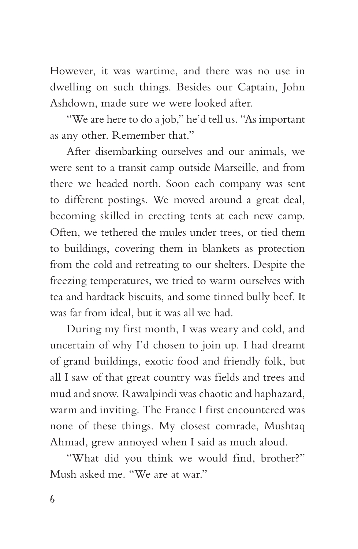However, it was wartime, and there was no use in dwelling on such things. Besides our Captain, John Ashdown, made sure we were looked after.

"We are here to do a job," he'd tell us. "As important as any other. Remember that."

After disembarking ourselves and our animals, we were sent to a transit camp outside Marseille, and from there we headed north. Soon each company was sent to different postings. We moved around a great deal, becoming skilled in erecting tents at each new camp. Often, we tethered the mules under trees, or tied them to buildings, covering them in blankets as protection from the cold and retreating to our shelters. Despite the freezing temperatures, we tried to warm ourselves with tea and hardtack biscuits, and some tinned bully beef. It was far from ideal, but it was all we had.

During my first month, I was weary and cold, and uncertain of why I'd chosen to join up. I had dreamt of grand buildings, exotic food and friendly folk, but all I saw of that great country was fields and trees and mud and snow. Rawalpindi was chaotic and haphazard, warm and inviting. The France I first encountered was none of these things. My closest comrade, Mushtaq Ahmad, grew annoyed when I said as much aloud.

"What did you think we would find, brother?" Mush asked me. "We are at war."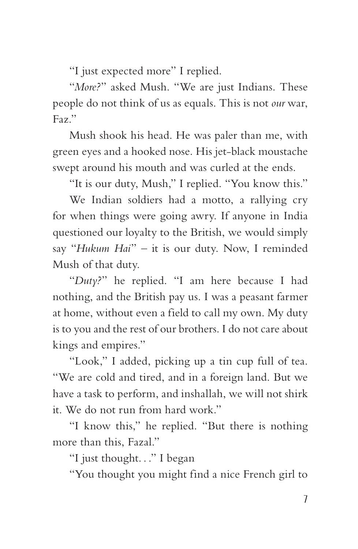"I just expected more" I replied.

"*More?*" asked Mush. "We are just Indians. These people do not think of us as equals. This is not *our* war, Faz."

Mush shook his head. He was paler than me, with green eyes and a hooked nose. His jet-black moustache swept around his mouth and was curled at the ends.

"It is our duty, Mush," I replied. "You know this."

We Indian soldiers had a motto, a rallying cry for when things were going awry. If anyone in India questioned our loyalty to the British, we would simply say "*Hukum Hai*" – it is our duty. Now, I reminded Mush of that duty.

"*Duty?*" he replied. "I am here because I had nothing, and the British pay us. I was a peasant farmer at home, without even a field to call my own. My duty is to you and the rest of our brothers. I do not care about kings and empires."

"Look," I added, picking up a tin cup full of tea. "We are cold and tired, and in a foreign land. But we have a task to perform, and inshallah, we will not shirk it. We do not run from hard work."

"I know this," he replied. "But there is nothing more than this, Fazal."

"I just thought. . ." I began

"You thought you might find a nice French girl to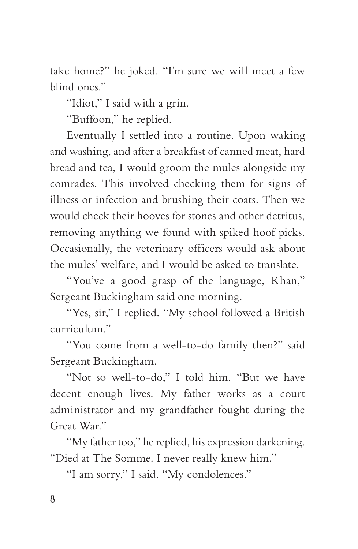take home?" he joked. "I'm sure we will meet a few blind ones."

"Idiot," I said with a grin.

"Buffoon," he replied.

Eventually I settled into a routine. Upon waking and washing, and after a breakfast of canned meat, hard bread and tea, I would groom the mules alongside my comrades. This involved checking them for signs of illness or infection and brushing their coats. Then we would check their hooves for stones and other detritus, removing anything we found with spiked hoof picks. Occasionally, the veterinary officers would ask about the mules' welfare, and I would be asked to translate.

"You've a good grasp of the language, Khan," Sergeant Buckingham said one morning.

"Yes, sir," I replied. "My school followed a British curriculum."

"You come from a well-to-do family then?" said Sergeant Buckingham.

"Not so well-to-do," I told him. "But we have decent enough lives. My father works as a court administrator and my grandfather fought during the Great War."

"My father too," he replied, his expression darkening. "Died at The Somme. I never really knew him."

"I am sorry," I said. "My condolences."